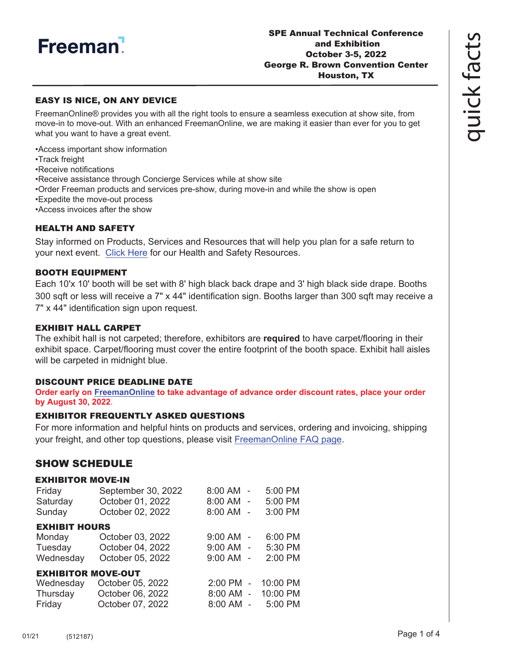

### EASY IS NICE, ON ANY DEVICE

FreemanOnline® provides you with all the right tools to ensure a seamless execution at show site, from move-in to move-out. With an enhanced FreemanOnline, we are making it easier than ever for you to get what you want to have a great event.

•Access important show information

•Track freight

•Receive notifications

- •Receive assistance through Concierge Services while at show site
- •Order Freeman products and services pre-show, during move-in and while the show is open
- •Expedite the move-out process
- •Access invoices after the show

#### HEALTH AND SAFETY

Stay informed on Products, Services and Resources that will help you plan for a safe return to your next event. [Click Here](https://www.freeman.com/resources/collection/how-to-safely-return-to-exhibiting/) for our Health and Safety Resources.

#### BOOTH EQUIPMENT

Each 10'x 10' booth will be set with 8' high black back drape and 3' high black side drape. Booths 300 sqft or less will receive a 7" x 44" identification sign. Booths larger than 300 sqft may receive a 7" x 44" identification sign upon request.

### EXHIBIT HALL CARPET

The exhibit hall is not carpeted; therefore, exhibitors are **required** to have carpet/flooring in their exhibit space. Carpet/flooring must cover the entire footprint of the booth space. Exhibit hall aisles will be carpeted in midnight blue.

#### DISCOUNT PRICE DEADLINE DATE

**Order early on [FreemanOnline](https://www.freemanco.com/store?utm_source=Forms&utm_medium=PDF) to take advantage of advance order discount rates, place your order by August 30, 2022**.

#### EXHIBITOR FREQUENTLY ASKED QUESTIONS

For more information and helpful hints on products and services, ordering and invoicing, shipping your freight, and other top questions, please visit [FreemanOnline FAQ page.](https://www.freemanco.com/store/faqs)

## SHOW SCHEDULE

#### EXHIBITOR MOVE-IN

| Friday<br>Saturday        | September 30, 2022<br>October 01, 2022 | 8:00 AM -<br>8:00 AM - | 5:00 PM<br>5:00 PM |
|---------------------------|----------------------------------------|------------------------|--------------------|
| Sunday                    | October 02, 2022                       | 8:00 AM -              | 3:00 PM            |
| <b>EXHIBIT HOURS</b>      |                                        |                        |                    |
| Monday                    | October 03, 2022                       | $9:00$ AM $-$          | 6:00 PM            |
| Tuesday                   | October 04, 2022                       | 9:00 AM -              | 5:30 PM            |
| Wednesday                 | October 05, 2022                       | $9:00$ AM $-$          | 2:00 PM            |
| <b>EXHIBITOR MOVE-OUT</b> |                                        |                        |                    |
| Wednesday                 | October 05, 2022                       | $2:00$ PM<br>$\sim$    | 10:00 PM           |
| Thursday                  | October 06, 2022                       | 8:00 AM -              | 10:00 PM           |
| Friday                    | October 07, 2022                       | 8:00 AM<br>$\sim$      | 5:00 PM            |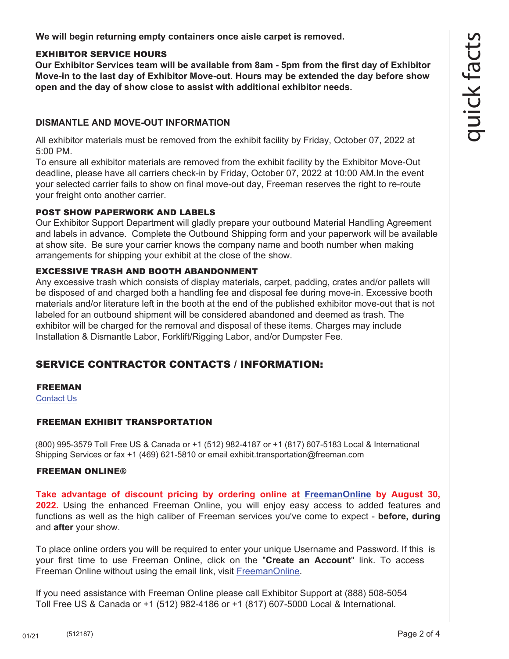**We will begin returning empty containers once aisle carpet is removed.**

## EXHIBITOR SERVICE HOURS

**Our Exhibitor Services team will be available from 8am - 5pm from the first day of Exhibitor Move-in to the last day of Exhibitor Move-out. Hours may be extended the day before show open and the day of show close to assist with additional exhibitor needs.** 

## **DISMANTLE AND MOVE-OUT INFORMATION**

All exhibitor materials must be removed from the exhibit facility by Friday, October 07, 2022 at 5:00 PM.

To ensure all exhibitor materials are removed from the exhibit facility by the Exhibitor Move-Out deadline, please have all carriers check-in by Friday, October 07, 2022 at 10:00 AM.In the event your selected carrier fails to show on final move-out day, Freeman reserves the right to re-route your freight onto another carrier.

### POST SHOW PAPERWORK AND LABELS

Our Exhibitor Support Department will gladly prepare your outbound Material Handling Agreement and labels in advance. Complete the Outbound Shipping form and your paperwork will be available at show site. Be sure your carrier knows the company name and booth number when making arrangements for shipping your exhibit at the close of the show.

## EXCESSIVE TRASH AND BOOTH ABANDONMENT

Any excessive trash which consists of display materials, carpet, padding, crates and/or pallets will [be dispose](https://www.freemanco.com/store/faqs#contactUS)d of and charged both a handling fee and disposal fee during move-in. Excessive booth materials and/or literature left in the booth at the end of the published exhibitor move-out that is not labeled for an outbound shipment will be considered abandoned and deemed as trash. The exhibitor will be charged for the removal and disposal of these items. Charges may include Installation & Dismantle Labor, Forklift/Rigging Labor, and/or Dumpster Fee.

# SERVICE CONTRACTOR CONTACTS / INFORMATION:

### FREEMAN

Contact Us

### FREEMAN EXHIBIT TRANSPORTATION

(800) 995-3579 Toll Free US & Canada or +1 (512) 982-4187 or +1 (817) 607-5183 Local & International Shipping Services or fax +1 (469) 621-5810 or email exhibit.transportation@freeman.com

### FREEMAN ONLINE®

**Take advantage of discount pricing by ordering online at [FreemanOnline](https://www.freemanco.com/store?utm_source=Forms&utm_medium=PDF) by August 30, 2022.** Using the enhanced Freeman Online, you will enjoy easy access to added features and functions as well as the high caliber of Freeman services you've come to expect - **before, during** and **after** your show.

To place online orders you will be required to enter your unique Username and Password. If this is your first time to use Freeman Online, click on the "**Create an Account**" link. To access Freeman Online without using the email link, visit [FreemanOnline.](https://www.freemanco.com/store?utm_source=Forms&utm_medium=PDF) 

If you need assistance with Freeman Online please call Exhibitor Support at (888) 508-5054 Toll Free US & Canada or +1 (512) 982-4186 or +1 (817) 607-5000 Local & International.